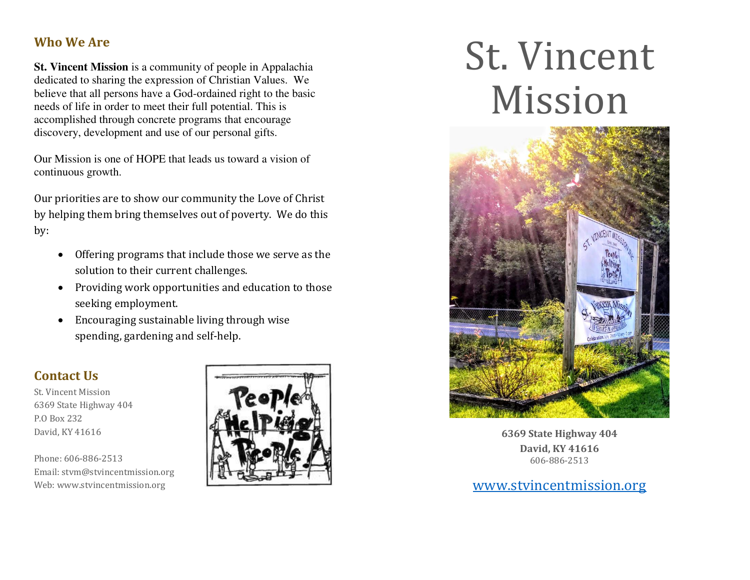#### **Who We Are**

**St. Vincent Mission** is a community of people in Appalachia dedicated to sharing the expression of Christian Values. We believe that all persons have a God-ordained right to the basic needs of life in order to meet their full potential. This is accomplished through concrete programs that encourage discovery, development and use of our personal gifts.

Our Mission is one of HOPE that leads us toward a vision of continuous growth.

Our priorities are to show our community the Love of Christ by helping them bring themselves out of poverty. We do this by:

- Offering programs that include those we serve as the solution to their current challenges.
- Providing work opportunities and education to those seeking employment.
- Encouraging sustainable living through wise spending, gardening and self-help.

#### **Contact Us**

St. Vincent Mission 6369 State Highway 404 P.O Box 232 David, KY 41616

Phone: 606-886-2513 Email: stvm@stvincentmission.org Web: www.stvincentmission.org



# St. Vincent Mission



**6369 State Highway 404 David, KY 41616**  606-886-2513

[www.stvincentmission.org](http://www.stvincentmission.org/)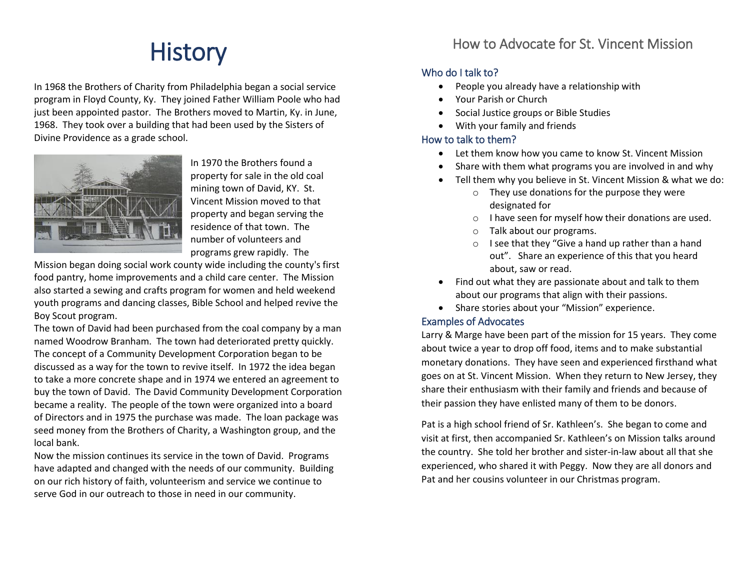# **History**

In 1968 the Brothers of Charity from Philadelphia began a social service program in Floyd County, Ky. They joined Father William Poole who had just been appointed pastor. The Brothers moved to Martin, Ky. in June, 1968. They took over a building that had been used by the Sisters of Divine Providence as a grade school.



In 1970 the Brothers found a property for sale in the old coal mining town of David, KY. St. Vincent Mission moved to that property and began serving the residence of that town. The number of volunteers and programs grew rapidly. The

Mission began doing social work county wide including the county's first food pantry, home improvements and a child care center. The Mission also started a sewing and crafts program for women and held weekend youth programs and dancing classes, Bible School and helped revive the Boy Scout program.

The town of David had been purchased from the coal company by a man named Woodrow Branham. The town had deteriorated pretty quickly. The concept of a Community Development Corporation began to be discussed as a way for the town to revive itself. In 1972 the idea began to take a more concrete shape and in 1974 we entered an agreement to buy the town of David. The David Community Development Corporation became a reality. The people of the town were organized into a board of Directors and in 1975 the purchase was made. The loan package was seed money from the Brothers of Charity, a Washington group, and the local bank.

Now the mission continues its service in the town of David. Programs have adapted and changed with the needs of our community. Building on our rich history of faith, volunteerism and service we continue to serve God in our outreach to those in need in our community.

#### How to Advocate for St. Vincent Mission

#### Who do I talk to?

- People you already have a relationship with
- Your Parish or Church
- Social Justice groups or Bible Studies
- With your family and friends

#### How to talk to them?

- Let them know how you came to know St. Vincent Mission
- Share with them what programs you are involved in and why
- Tell them why you believe in St. Vincent Mission & what we do:
	- o They use donations for the purpose they were designated for
	- o I have seen for myself how their donations are used.
	- o Talk about our programs.
	- o I see that they "Give a hand up rather than a hand out". Share an experience of this that you heard about, saw or read.
- Find out what they are passionate about and talk to them about our programs that align with their passions.
- Share stories about your "Mission" experience.

#### Examples of Advocates

Larry & Marge have been part of the mission for 15 years. They come about twice a year to drop off food, items and to make substantial monetary donations. They have seen and experienced firsthand what goes on at St. Vincent Mission. When they return to New Jersey, they share their enthusiasm with their family and friends and because of their passion they have enlisted many of them to be donors.

Pat is a high school friend of Sr. Kathleen's. She began to come and visit at first, then accompanied Sr. Kathleen's on Mission talks around the country. She told her brother and sister-in-law about all that she experienced, who shared it with Peggy. Now they are all donors and Pat and her cousins volunteer in our Christmas program.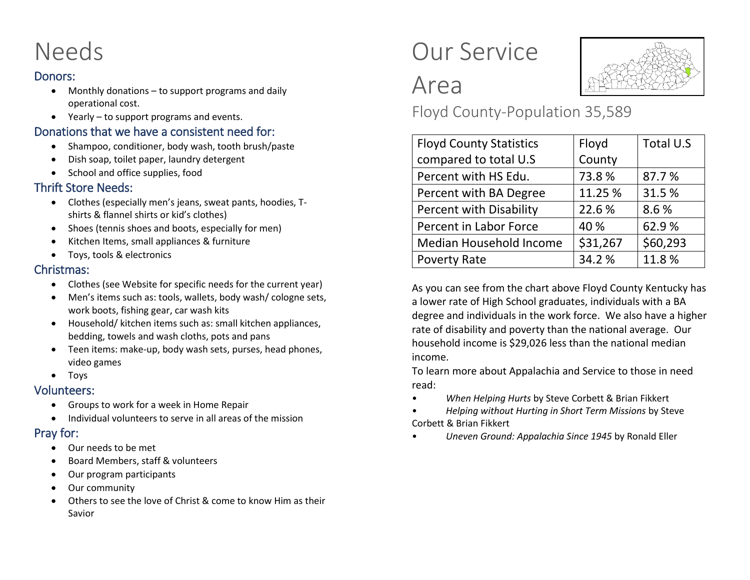# Needs

#### Donors:

- Monthly donations to support programs and daily operational cost.
- Yearly to support programs and events.

#### Donations that we have a consistent need for:

- Shampoo, conditioner, body wash, tooth brush/paste
- Dish soap, toilet paper, laundry detergent
- School and office supplies, food

#### Thrift Store Needs:

- Clothes (especially men's jeans, sweat pants, hoodies, Tshirts & flannel shirts or kid's clothes)
- Shoes (tennis shoes and boots, especially for men)
- Kitchen Items, small appliances & furniture
- Toys, tools & electronics

#### Christmas:

- Clothes (see Website for specific needs for the current year)
- Men's items such as: tools, wallets, body wash/ cologne sets, work boots, fishing gear, car wash kits
- Household/ kitchen items such as: small kitchen appliances, bedding, towels and wash cloths, pots and pans
- Teen items: make-up, body wash sets, purses, head phones, video games
- Toys

#### Volunteers:

- Groups to work for a week in Home Repair
- Individual volunteers to serve in all areas of the mission

#### Pray for:

- Our needs to be met
- Board Members, staff & volunteers
- Our program participants
- Our community
- Others to see the love of Christ & come to know Him as their Savior

### Our Service



Area Floyd County-Population 35,589

| <b>Floyd County Statistics</b> | Floyd    | Total U.S |
|--------------------------------|----------|-----------|
| compared to total U.S          | County   |           |
| Percent with HS Edu.           | 73.8%    | 87.7%     |
| Percent with BA Degree         | 11.25 %  | 31.5%     |
| <b>Percent with Disability</b> | 22.6%    | 8.6%      |
| Percent in Labor Force         | 40 %     | 62.9%     |
| Median Household Income        | \$31,267 | \$60,293  |
| <b>Poverty Rate</b>            | 34.2%    | 11.8%     |

As you can see from the chart above Floyd County Kentucky has a lower rate of High School graduates, individuals with a BA degree and individuals in the work force. We also have a higher rate of disability and poverty than the national average. Our household income is \$29,026 less than the national median income.

To learn more about Appalachia and Service to those in need read:

- *When Helping Hurts* by Steve Corbett & Brian Fikkert
- *Helping without Hurting in Short Term Missions* by Steve Corbett & Brian Fikkert
- *Uneven Ground: Appalachia Since 1945* by Ronald Eller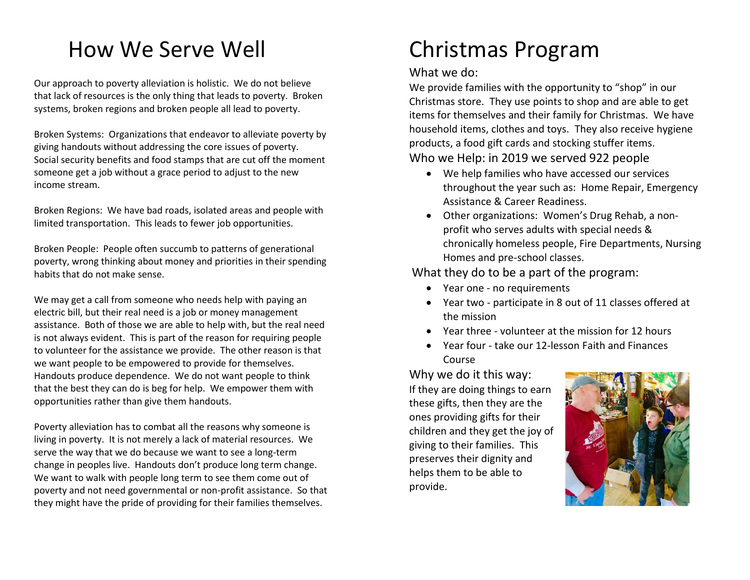### How We Serve Well

Our approach to poverty alleviation is holistic. We do not believe that lack of resources is the only thing that leads to poverty. Broken systems, broken regions and broken people all lead to poverty.

Broken Systems: Organizations that endeavor to alleviate poverty by giving handouts without addressing the core issues of poverty. Social security benefits and food stamps that are cut off the moment someone get a job without a grace period to adjust to the new income stream.

Broken Regions: We have bad roads, isolated areas and people with limited transportation. This leads to fewer job opportunities.

Broken People: People often succumb to patterns of generational poverty, wrong thinking about money and priorities in their spending habits that do not make sense.

We may get a call from someone who needs help with paying an electric bill, but their real need is a job or money management assistance. Both of those we are able to help with, but the real need is not always evident. This is part of the reason for requiring people to volunteer for the assistance we provide. The other reason is that we want people to be empowered to provide for themselves. Handouts produce dependence. We do not want people to think that the best they can do is beg for help. We empower them with opportunities rather than give them handouts.

Poverty alleviation has to combat all the reasons why someone is living in poverty. It is not merely a lack of material resources. We serve the way that we do because we want to see a long-term change in peoples live. Handouts don't produce long term change. We want to walk with people long term to see them come out of poverty and not need governmental or non-profit assistance. So that they might have the pride of providing for their families themselves.

### Christmas Program

#### What we do:

We provide families with the opportunity to "shop" in our Christmas store. They use points to shop and are able to get items for themselves and their family for Christmas. We have household items, clothes and toys. They also receive hygiene products, a food gift cards and stocking stuffer items.

#### Who we Help: in 2019 we served 922 people

- We help families who have accessed our services throughout the year such as: Home Repair, Emergency Assistance & Career Readiness.
- Other organizations: Women's Drug Rehab, a nonprofit who serves adults with special needs & chronically homeless people, Fire Departments, Nursing Homes and pre-school classes.

#### What they do to be a part of the program:

- Year one no requirements
- Year two participate in 8 out of 11 classes offered at the mission
- Year three volunteer at the mission for 12 hours
- Year four take our 12-lesson Faith and Finances Course

Why we do it this way: If they are doing things to earn these gifts, then they are the ones providing gifts for their children and they get the joy of giving to their families. This preserves their dignity and helps them to be able to provide.

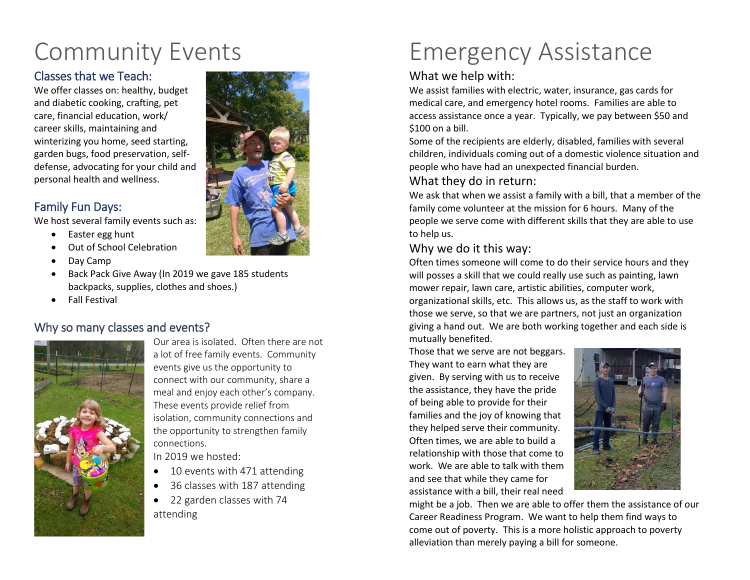## Community Events

#### Classes that we Teach:

We offer classes on: healthy, budget and diabetic cooking, crafting, pet care, financial education, work/ career skills, maintaining and winterizing you home, seed starting, garden bugs, food preservation, selfdefense, advocating for your child and personal health and wellness.

#### Family Fun Days:

We host several family events such as:

- Easter egg hunt
- Out of School Celebration
- Day Camp
- Back Pack Give Away (In 2019 we gave 185 students backpacks, supplies, clothes and shoes.)
- Fall Festival

#### Why so many classes and events?



Our area is isolated. Often there are not a lot of free family events. Community events give us the opportunity to connect with our community, share a meal and enjoy each other's company. These events provide relief from isolation, community connections and the opportunity to strengthen family connections.

In 2019 we hosted:

- 10 events with 471 attending
- 36 classes with 187 attending
- 22 garden classes with 74 attending



#### What we help with:

We assist families with electric, water, insurance, gas cards for medical care, and emergency hotel rooms. Families are able to access assistance once a year. Typically, we pay between \$50 and \$100 on a bill.

Some of the recipients are elderly, disabled, families with several children, individuals coming out of a domestic violence situation and people who have had an unexpected financial burden.

#### What they do in return:

We ask that when we assist a family with a bill, that a member of the family come volunteer at the mission for 6 hours. Many of the people we serve come with different skills that they are able to use to help us.

#### Why we do it this way:

Often times someone will come to do their service hours and they will posses a skill that we could really use such as painting, lawn mower repair, lawn care, artistic abilities, computer work, organizational skills, etc. This allows us, as the staff to work with those we serve, so that we are partners, not just an organization giving a hand out. We are both working together and each side is mutually benefited.

Those that we serve are not beggars. They want to earn what they are given. By serving with us to receive the assistance, they have the pride of being able to provide for their families and the joy of knowing that they helped serve their community. Often times, we are able to build a relationship with those that come to work. We are able to talk with them and see that while they came for assistance with a bill, their real need



might be a job. Then we are able to offer them the assistance of our Career Readiness Program. We want to help them find ways to come out of poverty. This is a more holistic approach to poverty alleviation than merely paying a bill for someone.

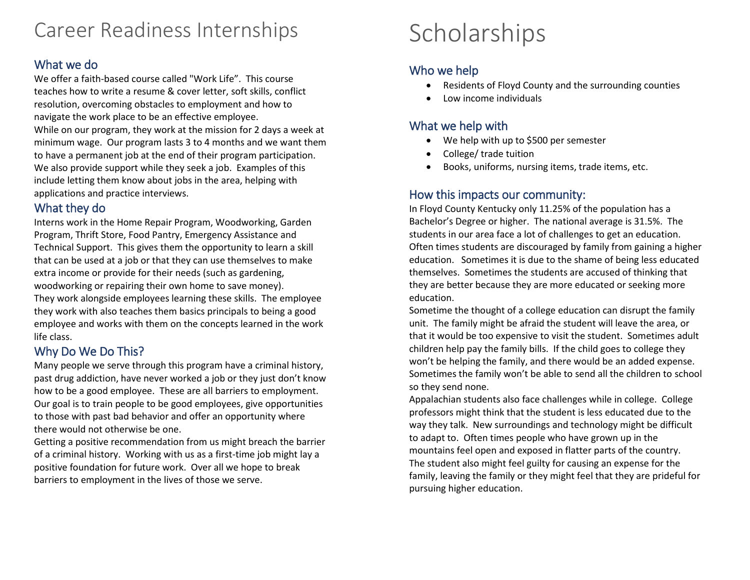### Career Readiness Internships

#### What we do

We offer a faith-based course called "Work Life". This course teaches how to write a resume & cover letter, soft skills, conflict resolution, overcoming obstacles to employment and how to navigate the work place to be an effective employee. While on our program, they work at the mission for 2 days a week at minimum wage. Our program lasts 3 to 4 months and we want them to have a permanent job at the end of their program participation. We also provide support while they seek a job. Examples of this include letting them know about jobs in the area, helping with applications and practice interviews.

#### What they do

Interns work in the Home Repair Program, Woodworking, Garden Program, Thrift Store, Food Pantry, Emergency Assistance and Technical Support. This gives them the opportunity to learn a skill that can be used at a job or that they can use themselves to make extra income or provide for their needs (such as gardening, woodworking or repairing their own home to save money). They work alongside employees learning these skills. The employee they work with also teaches them basics principals to being a good employee and works with them on the concepts learned in the work life class.

#### Why Do We Do This?

Many people we serve through this program have a criminal history, past drug addiction, have never worked a job or they just don't know how to be a good employee. These are all barriers to employment. Our goal is to train people to be good employees, give opportunities to those with past bad behavior and offer an opportunity where there would not otherwise be one.

Getting a positive recommendation from us might breach the barrier of a criminal history. Working with us as a first-time job might lay a positive foundation for future work. Over all we hope to break barriers to employment in the lives of those we serve.

### Scholarships

#### Who we help

- Residents of Floyd County and the surrounding counties
- Low income individuals

#### What we help with

- We help with up to \$500 per semester
- College/ trade tuition
- Books, uniforms, nursing items, trade items, etc.

#### How this impacts our community:

In Floyd County Kentucky only 11.25% of the population has a Bachelor's Degree or higher. The national average is 31.5%. The students in our area face a lot of challenges to get an education. Often times students are discouraged by family from gaining a higher education. Sometimes it is due to the shame of being less educated themselves. Sometimes the students are accused of thinking that they are better because they are more educated or seeking more education.

Sometime the thought of a college education can disrupt the family unit. The family might be afraid the student will leave the area, or that it would be too expensive to visit the student. Sometimes adult children help pay the family bills. If the child goes to college they won't be helping the family, and there would be an added expense. Sometimes the family won't be able to send all the children to school so they send none.

Appalachian students also face challenges while in college. College professors might think that the student is less educated due to the way they talk. New surroundings and technology might be difficult to adapt to. Often times people who have grown up in the mountains feel open and exposed in flatter parts of the country. The student also might feel guilty for causing an expense for the family, leaving the family or they might feel that they are prideful for pursuing higher education.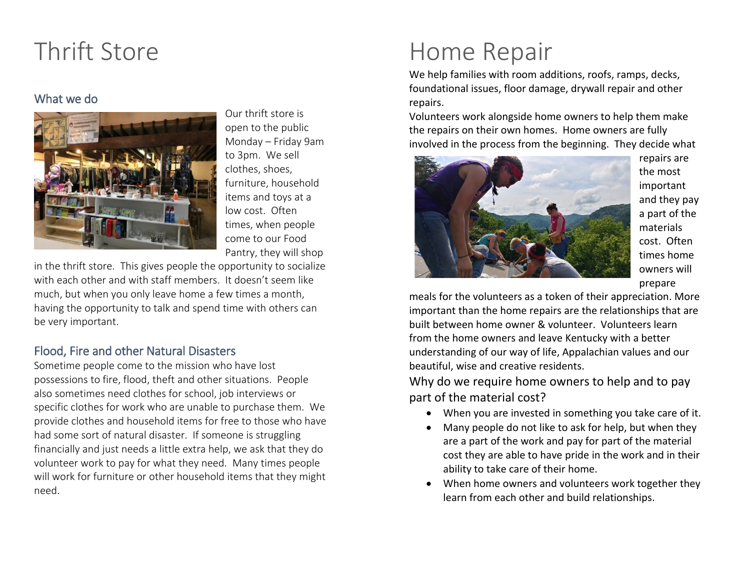### Thrift Store

#### What we do



Our thrift store is open to the public Monday – Friday 9am to 3pm. We sell clothes, shoes, furniture, household items and toys at a low cost. Often times, when people come to our Food Pantry, they will shop

in the thrift store. This gives people the opportunity to socialize with each other and with staff members. It doesn't seem like much, but when you only leave home a few times a month, having the opportunity to talk and spend time with others can be very important.

#### Flood, Fire and other Natural Disasters

Sometime people come to the mission who have lost possessions to fire, flood, theft and other situations. People also sometimes need clothes for school, job interviews or specific clothes for work who are unable to purchase them. We provide clothes and household items for free to those who have had some sort of natural disaster. If someone is struggling financially and just needs a little extra help, we ask that they do volunteer work to pay for what they need. Many times people will work for furniture or other household items that they might need.

## Home Repair

We help families with room additions, roofs, ramps, decks, foundational issues, floor damage, drywall repair and other repairs.

Volunteers work alongside home owners to help them make the repairs on their own homes. Home owners are fully involved in the process from the beginning. They decide what



repairs are the most important and they pay a part of the materials cost. Often times home owners will prepare

meals for the volunteers as a token of their appreciation. More important than the home repairs are the relationships that are built between home owner & volunteer. Volunteers learn from the home owners and leave Kentucky with a better understanding of our way of life, Appalachian values and our beautiful, wise and creative residents.

Why do we require home owners to help and to pay part of the material cost?

- When you are invested in something you take care of it.
- Many people do not like to ask for help, but when they are a part of the work and pay for part of the material cost they are able to have pride in the work and in their ability to take care of their home.
- When home owners and volunteers work together they learn from each other and build relationships.